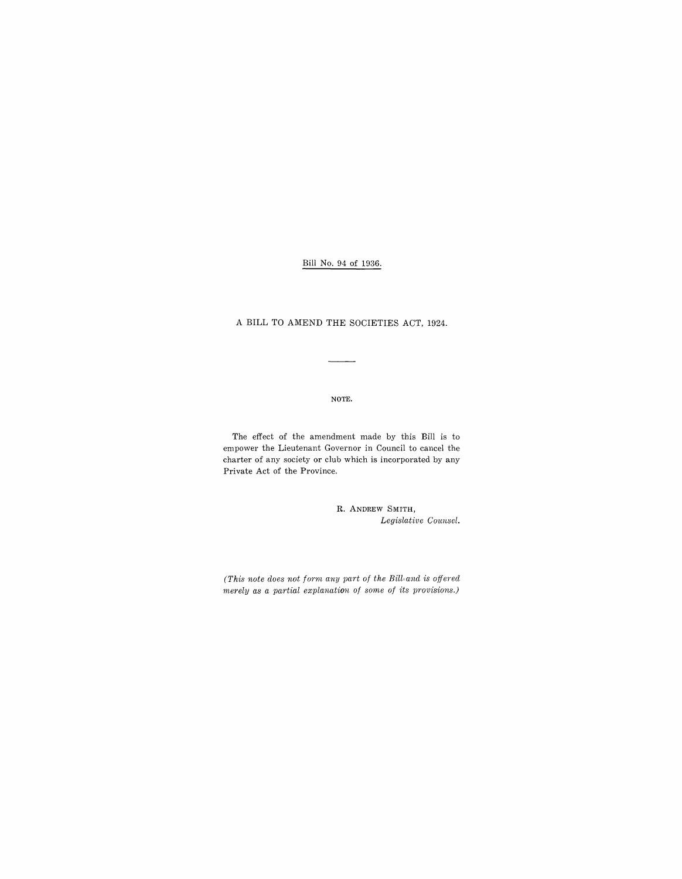Bill No. 94 of 1936.

A BILL TO AMEND THE SOCIETIES ACT, 1924.

NOTE.

The effect of the amendment made by this Bill is to empower the Lieutenant Governor in Council to cancel the charter of any society or club which is incorporated by any Private Act of the Province.

> R. ANDREW SMITH, Legislative Counsel.

*(This note does not form any part of the Bill and is offered merely as a partial explanation of some of its provisions.)*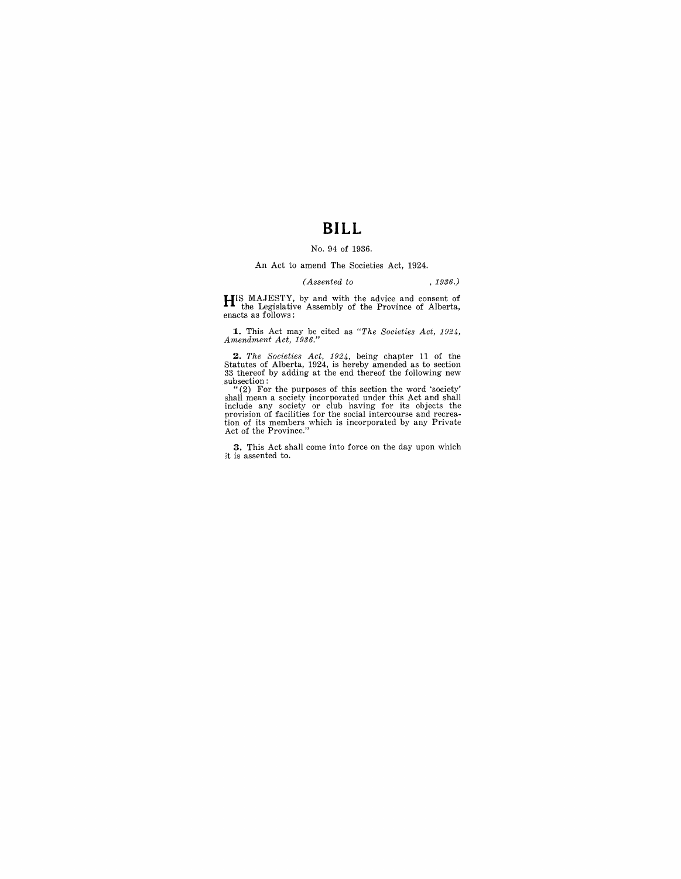# **BILL**

### No. 94 of 1936.

#### An Act to amend The Societies Act, 1924.

#### *(Assented to* , 1936.)

**HIS MAJESTY**, by and with the advice and consent of the Legislative Assembly of the Province of Alberta, enacts as follows:

**1.** This Act may be cited as "The Societies Act, 1924, Amendment Act, 1936."

**2.** The Societies Act, 1924, being chapter 11 of the Statutes of Alberta, 1924, is hereby amended as to section 33 thereof by adding at the end thereof the following new subsection:

"(2) For the purposes of this section the word 'society'<br>shall mean a society incorporated under this Act and shall<br>include any society or club having for its objects the<br>provision of facilities for the social intercourse

**3.** This Act shall come into force on the day upon which it is assented to.